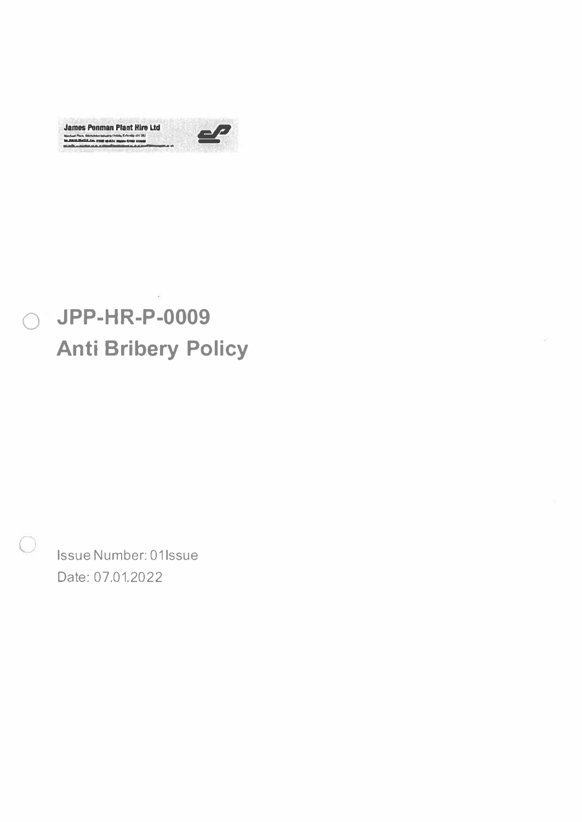



# JPP-HR-P-0009  $\bigcirc$ **Anti Bribery Policy**

Issue Number: 01Issue Date: 07.01.2022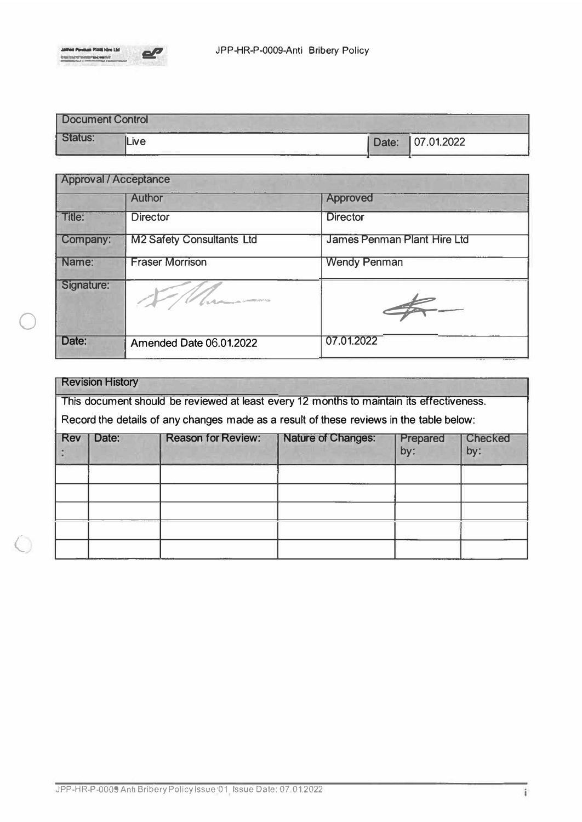

0

 $\bigcirc$ 

| Document Control |         |                  |
|------------------|---------|------------------|
| <b>Status:</b>   | $L$ ive | Date: 07.01.2022 |

| <b>Approval / Acceptance</b> |                                  |                             |  |  |
|------------------------------|----------------------------------|-----------------------------|--|--|
|                              | <b>Author</b>                    | <b>Approved</b>             |  |  |
| Title:                       | <b>Director</b>                  | <b>Director</b>             |  |  |
| Company:                     | <b>M2 Safety Consultants Ltd</b> | James Penman Plant Hire Ltd |  |  |
| Name:                        | <b>Fraser Morrison</b>           | <b>Wendy Penman</b>         |  |  |
| Signature:                   | <b>Curton Communication</b>      |                             |  |  |
| Date:                        | <b>Amended Date 06.01.2022</b>   | 07.01.2022                  |  |  |

| <b>Revision History</b>                                                                  |                                                                                         |                           |                           |                 |                       |  |  |  |
|------------------------------------------------------------------------------------------|-----------------------------------------------------------------------------------------|---------------------------|---------------------------|-----------------|-----------------------|--|--|--|
| This document should be reviewed at least every 12 months to maintain its effectiveness. |                                                                                         |                           |                           |                 |                       |  |  |  |
|                                                                                          | Record the details of any changes made as a result of these reviews in the table below: |                           |                           |                 |                       |  |  |  |
| Rev                                                                                      | Date:                                                                                   | <b>Reason for Review:</b> | <b>Nature of Changes:</b> | Prepared<br>by: | <b>Checked</b><br>by: |  |  |  |
|                                                                                          |                                                                                         |                           |                           |                 |                       |  |  |  |
|                                                                                          |                                                                                         |                           |                           |                 |                       |  |  |  |
|                                                                                          |                                                                                         |                           |                           |                 |                       |  |  |  |
|                                                                                          |                                                                                         |                           |                           |                 |                       |  |  |  |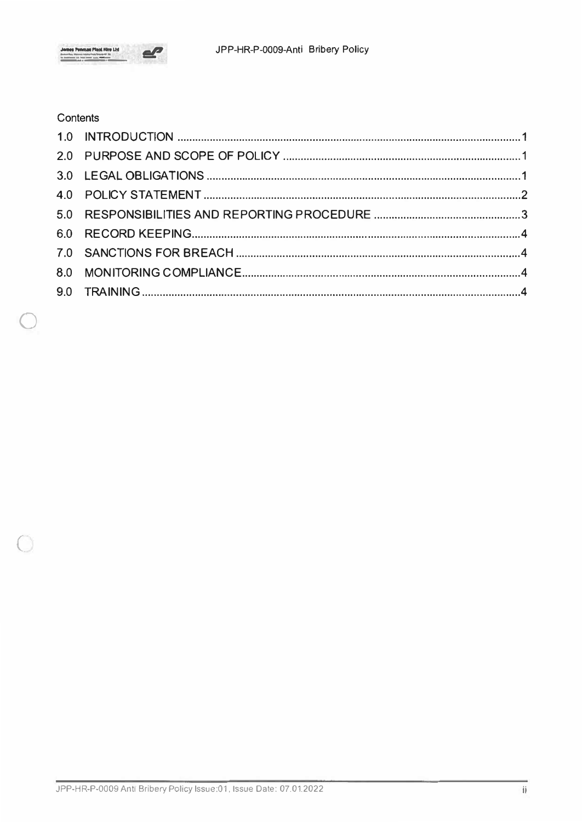

## Contents

 $\Box$ 

 $\circlearrowleft$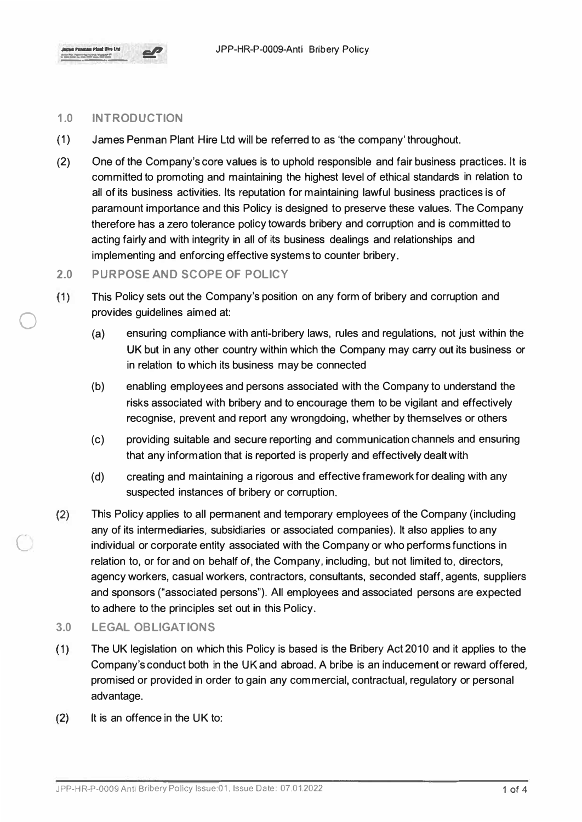

 $\bigcirc$ 

C

### **1.0 INTRODUCTION**

- (1) James Penman Plant Hire Ltd will be referred to as 'the company' throughout.
- (2) One of the Company's core values is to uphold responsible and fair business practices. lt is committed to promoting and maintaining the highest level of ethical standards in relation to all of its business activities. Its reputation for maintaining lawful business practices is of paramount importance and this Policy is designed to preserve these values. The Company therefore has a zero tolerance policy towards bribery and corruption and is committed to acting fairly and with integrity in all of its business dealings and relationships and implementing and enforcing effective systems to counter bribery.

#### **2.0 PURPOSE AND SCOPE OF POLICY**

- (1) This Policy sets out the Company's position on any form of bribery and corruption and provides guidelines aimed at:
	- (a) ensuring compliance with anti-bribery laws, rules and regulations, not just within the UK but in any other country within which the Company may carry out its business or in relation to which its business may be connected
	- (b) enabling employees and persons associated with the Company to understand the risks associated with bribery and to encourage them to be vigilant and effectively recognise, prevent and report any wrongdoing, whether by themselves or others
	- (c) providing suitable and secure reporting and communication channels and ensuring that any information that is reported is properly and effectively dealt with
	- (d) creating and maintaining a rigorous and effective framework for dealing with any suspected instances of bribery or corruption.
- (2) This Policy applies to all permanent and temporary employees of the Company (including any of its intermediaries, subsidiaries or associated companies). It also applies to any individual or corporate entity associated with the Company or who performs functions in relation to, or for and on behalf of, the Company, including, but not limited to, directors, agency workers, casual workers, contractors, consultants, seconded staff, agents, suppliers and sponsors ("associated persons"). All employees and associated persons are expected to adhere to the principles set out in this Policy.
- **3.0 LEGAL OBLIGATIONS**
- ( 1) The UK legislation on which this Policy is based is the Bribery Act 2010 and it applies to the Company's conduct both in the UK and abroad. A bribe is an inducement or reward offered, promised or provided in order to gain any commercial, contractual, regulatory or personal advantage.
- (2) It is an offence in the UK to: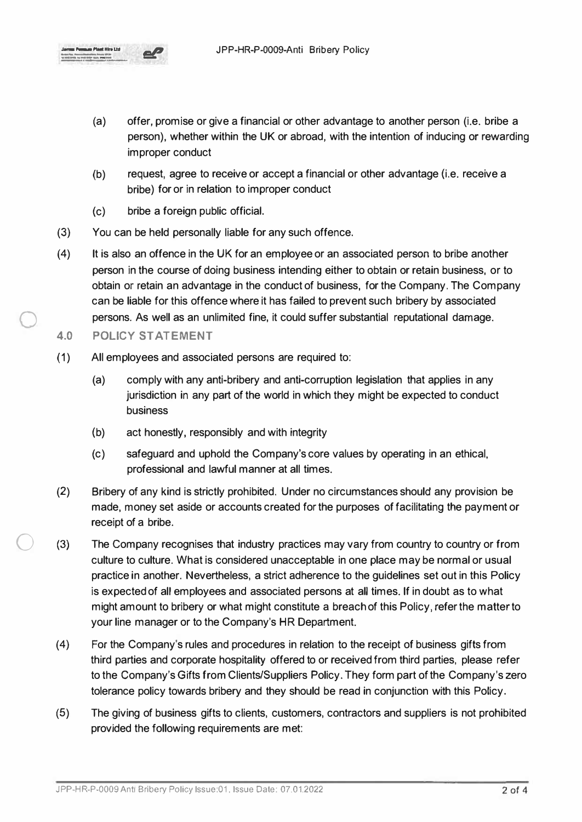

- (a) offer, promise or give a financial or other advantage to another person (i.e. bribe a person), whether within the UK or abroad, with the intention of inducing or rewarding improper conduct
- (b) request, agree to receive or accept a financial or other advantage (i.e. receive a bribe) for or in relation to improper conduct
- (c) bribe a foreign public official.
- (3) You can be held personally liable for any such offence.
- (4) It is also an offence in the UK for an employee or an associated person to bribe another person in the course of doing business intending either to obtain or retain business, or to obtain or retain an advantage in the conduct of business, for the Company. The Company can be liable for this offence where it has failed to prevent such bribery by associated persons. As well as an unlimited fine, it could suffer substantial reputational damage.
- **4.0 POLICY STATEMENT**

0

0

- ( 1) All employees and associated persons are required to:
	- (a) comply with any anti-bribery and anti-corruption legislation that applies in any jurisdiction in any part of the world in which they might be expected to conduct business
	- (b) act honestly, responsibly and with integrity
	- (c) safeguard and uphold the Company's core values by operating in an ethical, professional and lawful manner at all times.
- (2) Bribery of any kind is strictly prohibited. Under no circumstances should any provision be made, money set aside or accounts created for the purposes of facilitating the payment or receipt of a bribe.
- (3) The Company recognises that industry practices may vary from country to country or from culture to culture. What is considered unacceptable in one place may be normal or usual practice in another. Nevertheless, a strict adherence to the guidelines set out in this Policy is expected of all employees and associated persons at all times. If in doubt as to what might amount to bribery or what might constitute a breach of this Policy, refer the matter to your line manager or to the Company's HR Department.
- (4) For the Company's rules and procedures in relation to the receipt of business gifts from third parties and corporate hospitality offered to or received from third parties, please refer to the Company's Gifts from Clients/Suppliers Policy. They form part of the Company's zero tolerance policy towards bribery and they should be read in conjunction with this Policy.
- (5) The giving of business gifts to clients, customers, contractors and suppliers is not prohibited provided the following requirements are met: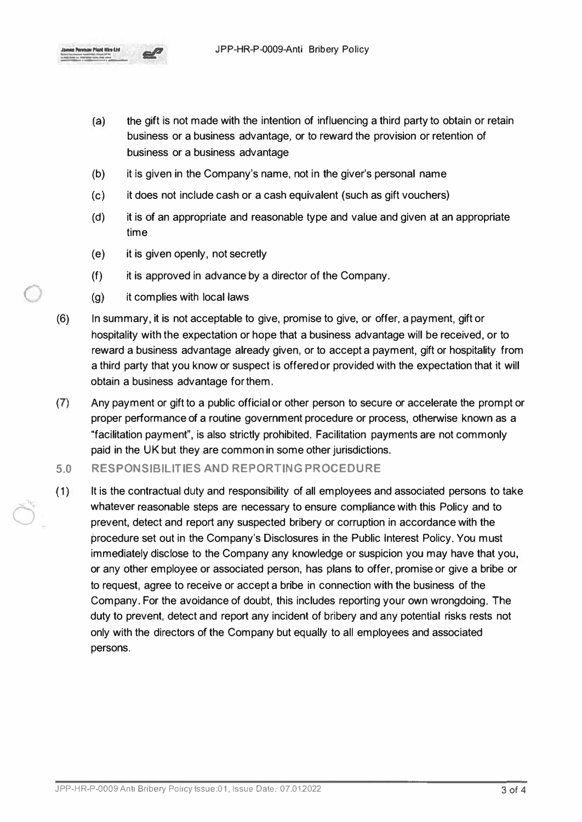

- (a) the gift is not made with the intention of influencing a third party to obtain or retain business or a business advantage, or to reward the provision or retention of business or a business advantage
- (b) it is given in the Company's name, not in the giver's personal name
- (c) it does not include cash or a cash equivalent (such as gift vouchers)
- (d) it is of an appropriate and reasonable type and value and given at an appropriate time
- (e) it is given openly, not secretly
- (f) it is approved in advance by a director of the Company.
- (g) it complies with local laws
- (6) In summary, it is not acceptable to give, promise to give, or offer, a payment, gift or hospitality with the expectation or hope that a business advantage will be received, or to reward a business advantage already given, or to accept a payment, gift or hospitality from a third party that you know or suspect is offered or provided with the expectation that it will obtain a business advantage for them.
- (7) Any payment or gift to a public official or other person to secure or accelerate the prompt or proper performance of a routine government procedure or process, otherwise known as a "facilitation payment", is also strictly prohibited. Facilitation payments are not commonly paid in the UK but they are common in some other jurisdictions.
- **5.0 RESPONSIBILITIES AND REPORTING PROCEDURE**
- (1) It is the contractual duty and responsibility of all employees and associated persons to take whatever reasonable steps are necessary to ensure compliance with this Policy and to prevent, detect and report any suspected bribery or corruption in accordance with the procedure set out in the Company's Disclosures in the Public Interest Policy. You must immediately disclose to the Company any knowledge or suspicion you may have that you, or any other employee or associated person, has plans to offer, promise or give a bribe or to request, agree to receive or accept a bribe in connection with the business of the Company. For the avoidance of doubt, this includes reporting your own wrongdoing. The duty to prevent, detect and report any incident of bribery and any potential risks rests not only with the directors of the Company but equally to all employees and associated persons.